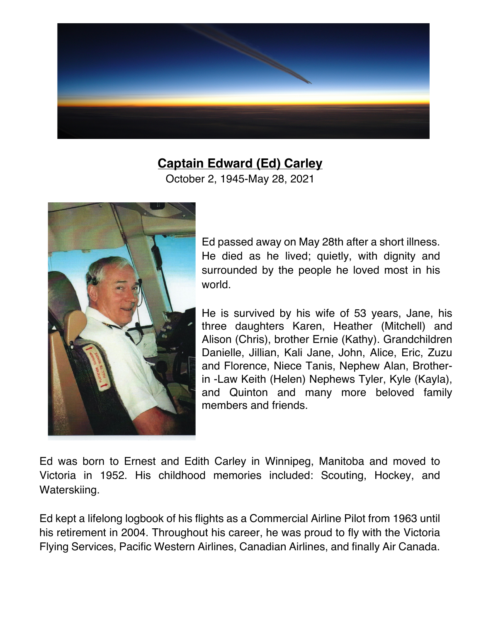

## **Captain Edward (Ed) Carley**

October 2, 1945-May 28, 2021



Ed passed away on May 28th after a short illness. He died as he lived; quietly, with dignity and surrounded by the people he loved most in his world.

He is survived by his wife of 53 years, Jane, his three daughters Karen, Heather (Mitchell) and Alison (Chris), brother Ernie (Kathy). Grandchildren Danielle, Jillian, Kali Jane, John, Alice, Eric, Zuzu and Florence, Niece Tanis, Nephew Alan, Brotherin -Law Keith (Helen) Nephews Tyler, Kyle (Kayla), and Quinton and many more beloved family members and friends.

Ed was born to Ernest and Edith Carley in Winnipeg, Manitoba and moved to Victoria in 1952. His childhood memories included: Scouting, Hockey, and Waterskiing.

Ed kept a lifelong logbook of his flights as a Commercial Airline Pilot from 1963 until his retirement in 2004. Throughout his career, he was proud to fly with the Victoria Flying Services, Pacific Western Airlines, Canadian Airlines, and finally Air Canada.